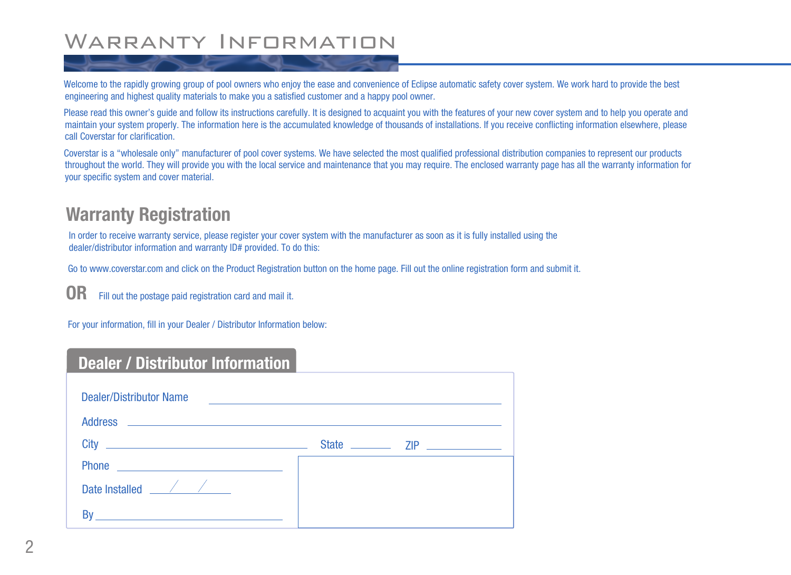# WARRANTY INFORMATION

Welcome to the rapidly growing group of pool owners who enjoy the ease and convenience of Eclipse automatic safety cover system. We work hard to provide the best engineering and highest quality materials to make you a satisfied customer and a happy pool owner.

Please read this owner's guide and follow its instructions carefully. It is designed to acquaint you with the features of your new cover system and to help you operate and maintain your system properly. The information here is the accumulated knowledge of thousands of installations. If you receive conflicting information elsewhere, please call Coverstar for clarification.

Coverstar is a "wholesale only" manufacturer of pool cover systems. We have selected the most qualified professional distribution companies to represent our products throughout the world. They will provide you with the local service and maintenance that you may require. The enclosed warranty page has all the warranty information for your specific system and cover material.

### **Warranty Registration**

In order to receive warranty service, please register your cover system with the manufacturer as soon as it is fully installed using the dealer/distributor information and warranty ID# provided. To do this:

Go to www.coverstar.com and click on the Product Registration button on the home page. Fill out the online registration form and submit it.

**OR** Fill out the postage paid registration card and mail it.

For your information, fill in your Dealer / Distributor Information below:

### **Dealer / Distributor Information**

| <b>Dealer/Distributor Name</b><br><u> 1989 - Andrea State Barbara, amerikan personal di sebagai personal di sebagai personal di sebagai personal di</u> |  |  |  |  |
|---------------------------------------------------------------------------------------------------------------------------------------------------------|--|--|--|--|
| <b>Address</b><br><u> 1980 - Johann Barbara, martin amerikan basal dan berasal dan berasal dalam basal dan berasal dan berasal dan</u>                  |  |  |  |  |
| City<br><u> Alexandria de la contrada de la contrada de la contrada de la contrada de la contrada de la contrada de la c</u>                            |  |  |  |  |
| <b>Phone</b><br><u> 1989 - John Stein, Amerikaansk politiker (</u>                                                                                      |  |  |  |  |
| Date Installed <u>Same Allen State Installed</u>                                                                                                        |  |  |  |  |
|                                                                                                                                                         |  |  |  |  |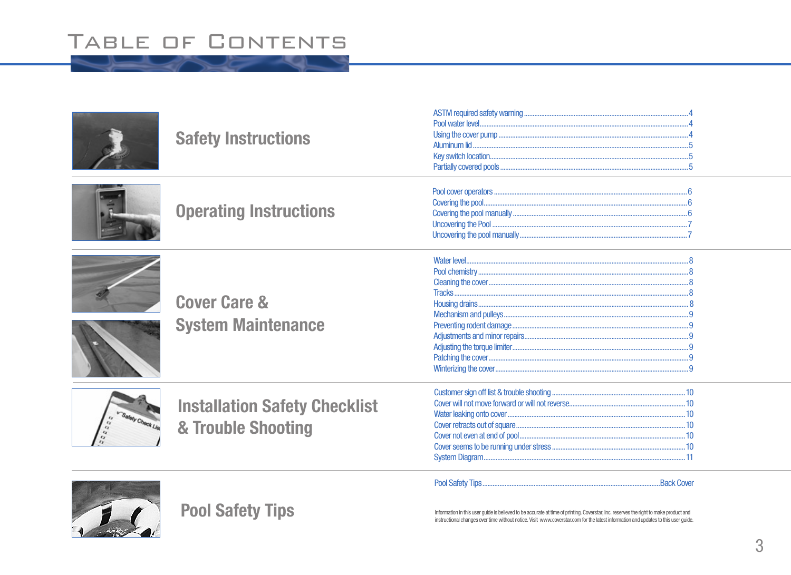# TABLE OF CONTENTS

| <b>Safety Instructions</b>                                 |                                                                                                                                                                                                                                                                             |  |
|------------------------------------------------------------|-----------------------------------------------------------------------------------------------------------------------------------------------------------------------------------------------------------------------------------------------------------------------------|--|
| <b>Operating Instructions</b>                              |                                                                                                                                                                                                                                                                             |  |
| <b>Cover Care &amp;</b><br><b>System Maintenance</b>       |                                                                                                                                                                                                                                                                             |  |
| <b>Installation Safety Checklist</b><br>& Trouble Shooting |                                                                                                                                                                                                                                                                             |  |
| <b>Pool Safety Tips</b>                                    | Information in this user guide is believed to be accurate at time of printing. Coverstar, Inc. reserves the right to make product and<br>instructional changes over time without notice. Visit www.coverstar.com for the latest information and updates to this user quide. |  |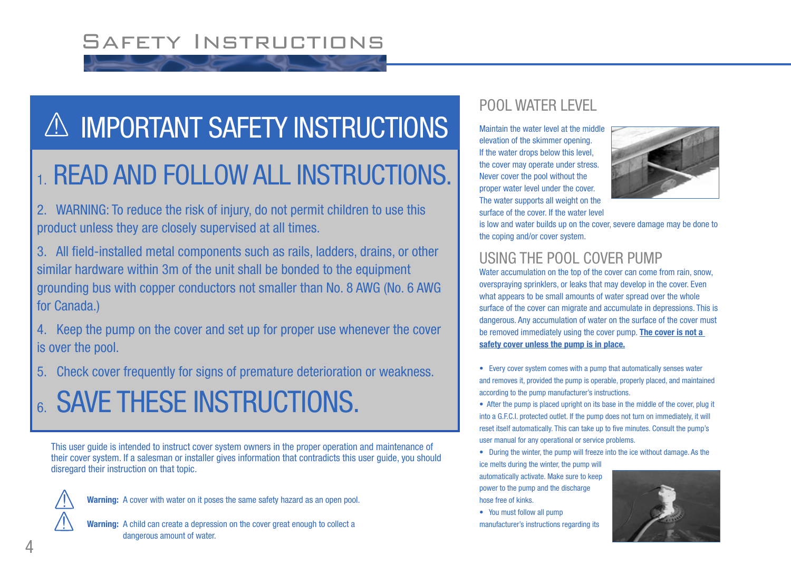# Safety Instructions

# A IMPORTANT SAFETY INSTRUCTIONS

# 1. READ AND FOLLOW ALL INSTRUCTIONS.

2. WARNING: To reduce the risk of injury, do not permit children to use this product unless they are closely supervised at all times.

3. All field-installed metal components such as rails, ladders, drains, or other similar hardware within 3m of the unit shall be bonded to the equipment grounding bus with copper conductors not smaller than No. 8 AWG (No. 6 AWG for Canada.)

4. Keep the pump on the cover and set up for proper use whenever the cover is over the pool.

5. Check cover frequently for signs of premature deterioration or weakness.

# **6. SAVE THESE INSTRUCTIONS.**

This user guide is intended to instruct cover system owners in the proper operation and maintenance of their cover system. If a salesman or installer gives information that contradicts this user guide, you should disregard their instruction on that topic.



**Warning:** A cover with water on it poses the same safety hazard as an open pool.

**Warning:** A child can create a depression on the cover great enough to collect a dangerous amount of water.

#### POOL WATER LEVEL

Maintain the water level at the middle elevation of the skimmer opening. If the water drops below this level, the cover may operate under stress. Never cover the pool without the proper water level under the cover. The water supports all weight on the surface of the cover. If the water level



is low and water builds up on the cover, severe damage may be done to the coping and/or cover system.

#### USING THE POOL COVER PUMP

Water accumulation on the top of the cover can come from rain, snow, overspraying sprinklers, or leaks that may develop in the cover. Even what appears to be small amounts of water spread over the whole surface of the cover can migrate and accumulate in depressions. This is dangerous. Any accumulation of water on the surface of the cover must be removed immediately using the cover pump. **The cover is not a safety cover unless the pump is in place.**

- Every cover system comes with a pump that automatically senses water and removes it, provided the pump is operable, properly placed, and maintained according to the pump manufacturer's instructions.
- After the pump is placed upright on its base in the middle of the cover, plug it into a G.F.C.I. protected outlet. If the pump does not turn on immediately, it will reset itself automatically. This can take up to five minutes. Consult the pump's user manual for any operational or service problems.
- During the winter, the pump will freeze into the ice without damage. As the ice melts during the winter, the pump will

automatically activate. Make sure to keep power to the pump and the discharge hose free of kinks.

• You must follow all pump

manufacturer's instructions regarding its

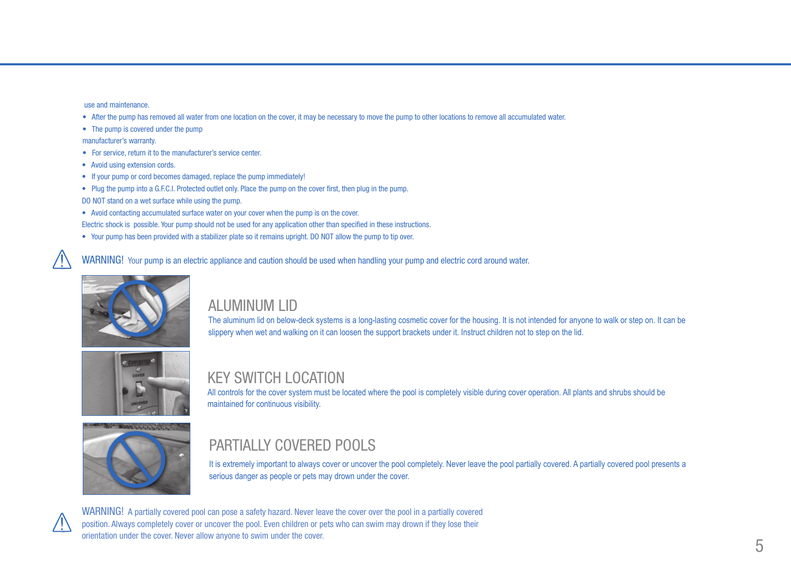use and maintenance.

- After the pump has removed all water from one location on the cover, it may be necessary to move the pump to other locations to remove all accumulated water.
- The pump is covered under the pump

manufacturer's warranty.

- For service, return it to the manufacturer's service center.
- Avoid using extension cords.
- If your pump or cord becomes damaged, replace the pump immediately!
- Plug the pump into a G.F.C.I. Protected outlet only. Place the pump on the cover first, then plug in the pump.
- DO NOT stand on a wet surface while using the pump.
- Avoid contacting accumulated surface water on your cover when the pump is on the cover. Electric shock is possible. Your pump should not be used for any application other than specified in these instructions.
- Your pump has been provided with a stabilizer plate so it remains upright. DO NOT allow the pump to tip over.

WARNING! Your pump is an electric appliance and caution should be used when handling your pump and electric cord around water.



#### ALUMINUM LID

The aluminum lid on below-deck systems is a long-lasting cosmetic cover for the housing. It is not intended for anyone to walk or step on. It can be slippery when wet and walking on it can loosen the support brackets under it. Instruct children not to step on the lid.



#### KEY SWITCH LOCATION

All controls for the cover system must be located where the pool is completely visible during cover operation. All plants and shrubs should be maintained for continuous visibility.



### PARTIALLY COVERED POOLS

It is extremely important to always cover or uncover the pool completely. Never leave the pool partially covered. A partially covered pool presents a serious danger as people or pets may drown under the cover.



WARNING! A partially covered pool can pose a safety hazard. Never leave the cover over the pool in a partially covered position. Always completely cover or uncover the pool. Even children or pets who can swim may drown if they lose their orientation under the cover. Never allow anyone to swim under the cover.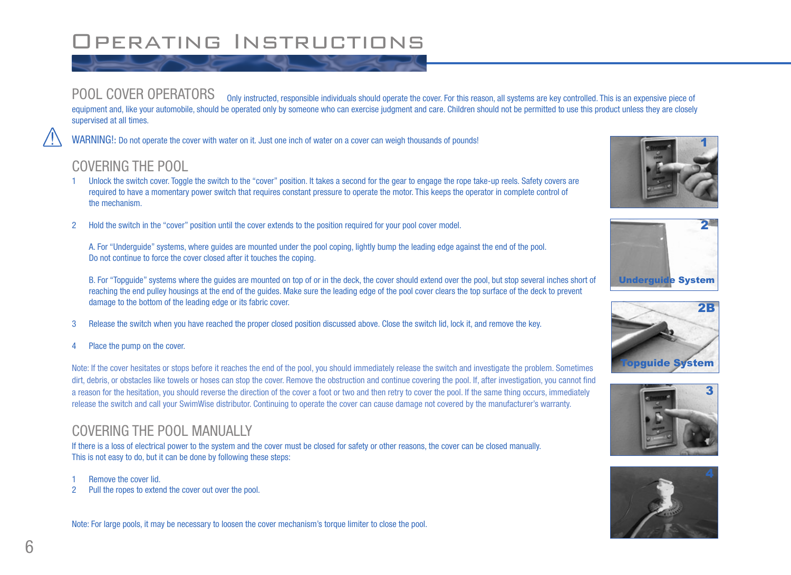# Operating Instructions

POOL COVER OPERATORS only instructed, responsible individuals should operate the cover. For this reason, all systems are key controlled. This is an expensive piece of equipment and, like your automobile, should be operated only by someone who can exercise judgment and care. Children should not be permitted to use this product unless they are closely supervised at all times.

WARNING!: Do not operate the cover with water on it. Just one inch of water on a cover can weigh thousands of pounds!

#### COVERING THE POOL

- 1 Unlock the switch cover. Toggle the switch to the "cover" position. It takes a second for the gear to engage the rope take-up reels. Safety covers are required to have a momentary power switch that requires constant pressure to operate the motor. This keeps the operator in complete control of the mechanism.
- 2 Hold the switch in the "cover" position until the cover extends to the position required for your pool cover model.

A. For "Underguide" systems, where guides are mounted under the pool coping, lightly bump the leading edge against the end of the pool. Do not continue to force the cover closed after it touches the coping.

B. For "Topguide" systems where the guides are mounted on top of or in the deck, the cover should extend over the pool, but stop several inches short of reaching the end pulley housings at the end of the guides. Make sure the leading edge of the pool cover clears the top surface of the deck to prevent damage to the bottom of the leading edge or its fabric cover.

- 3 Release the switch when you have reached the proper closed position discussed above. Close the switch lid, lock it, and remove the key.
- 4 Place the pump on the cover.

Note: If the cover hesitates or stops before it reaches the end of the pool, you should immediately release the switch and investigate the problem. Sometimes dirt, debris, or obstacles like towels or hoses can stop the cover. Remove the obstruction and continue covering the pool. If, after investigation, you cannot find a reason for the hesitation, you should reverse the direction of the cover a foot or two and then retry to cover the pool. If the same thing occurs, immediately release the switch and call your SwimWise distributor. Continuing to operate the cover can cause damage not covered by the manufacturer's warranty.

#### COVERING THE POOL MANUALLY

If there is a loss of electrical power to the system and the cover must be closed for safety or other reasons, the cover can be closed manually. This is not easy to do, but it can be done by following these steps:

- Remove the cover lid.
- 2 Pull the ropes to extend the cover out over the pool.

Note: For large pools, it may be necessary to loosen the cover mechanism's torque limiter to close the pool.









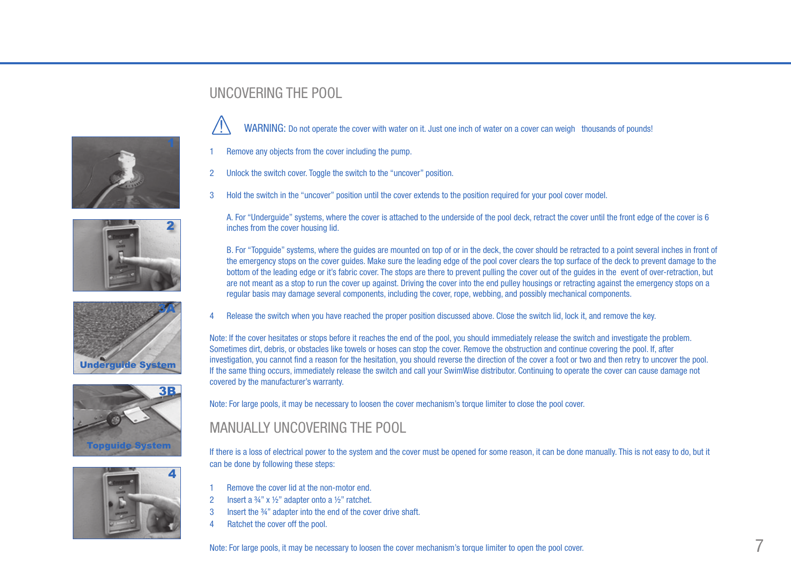









#### UNCOVERING THE POOL

WARNING: Do not operate the cover with water on it. Just one inch of water on a cover can weigh thousands of pounds!

- Remove any objects from the cover including the pump.
- 2 Unlock the switch cover. Toggle the switch to the "uncover" position.
- 3 Hold the switch in the "uncover" position until the cover extends to the position required for your pool cover model.

A. For "Underguide" systems, where the cover is attached to the underside of the pool deck, retract the cover until the front edge of the cover is 6 inches from the cover housing lid.

B. For "Topguide" systems, where the guides are mounted on top of or in the deck, the cover should be retracted to a point several inches in front of the emergency stops on the cover guides. Make sure the leading edge of the pool cover clears the top surface of the deck to prevent damage to the bottom of the leading edge or it's fabric cover. The stops are there to prevent pulling the cover out of the guides in the event of over-retraction, but are not meant as a stop to run the cover up against. Driving the cover into the end pulley housings or retracting against the emergency stops on a regular basis may damage several components, including the cover, rope, webbing, and possibly mechanical components.

4 Release the switch when you have reached the proper position discussed above. Close the switch lid, lock it, and remove the key.

Note: If the cover hesitates or stops before it reaches the end of the pool, you should immediately release the switch and investigate the problem. Sometimes dirt, debris, or obstacles like towels or hoses can stop the cover. Remove the obstruction and continue covering the pool. If, after investigation, you cannot find a reason for the hesitation, you should reverse the direction of the cover a foot or two and then retry to uncover the pool. If the same thing occurs, immediately release the switch and call your SwimWise distributor. Continuing to operate the cover can cause damage not covered by the manufacturer's warranty.

Note: For large pools, it may be necessary to loosen the cover mechanism's torque limiter to close the pool cover.

#### MANUALLY UNCOVERING THE POOL

If there is a loss of electrical power to the system and the cover must be opened for some reason, it can be done manually. This is not easy to do, but it can be done by following these steps:

- Remove the cover lid at the non-motor end.
- 2 Insert a  $\frac{3}{4}$ " x  $\frac{1}{2}$ " adapter onto a  $\frac{1}{2}$ " ratchet.
- 3 Insert the ¾" adapter into the end of the cover drive shaft.
- 4 Ratchet the cover off the pool.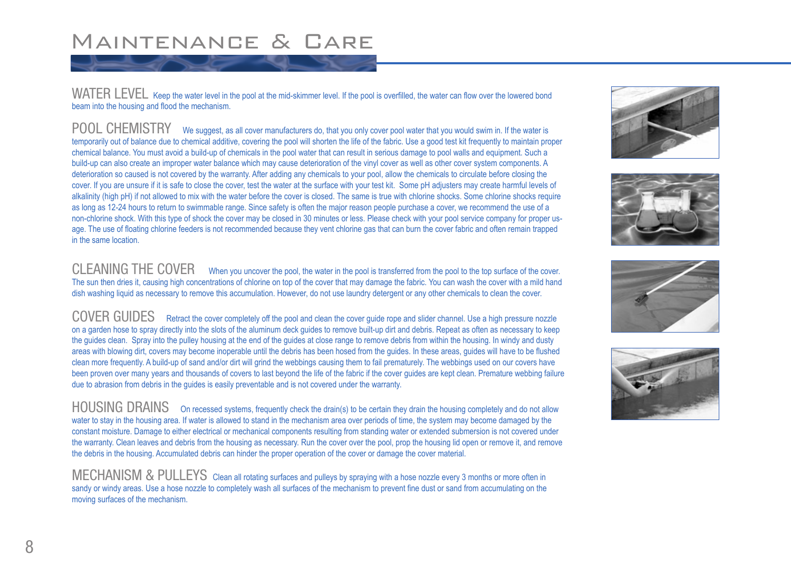### Maintenance & Care

WATER LEVEL Keep the water level in the pool at the mid-skimmer level. If the pool is overfilled, the water can flow over the lowered bond beam into the housing and flood the mechanism.

POOL CHEMISTRY We suggest, as all cover manufacturers do, that you only cover pool water that you would swim in. If the water is temporarily out of balance due to chemical additive, covering the pool will shorten the life of the fabric. Use a good test kit frequently to maintain proper chemical balance. You must avoid a build-up of chemicals in the pool water that can result in serious damage to pool walls and equipment. Such a build-up can also create an improper water balance which may cause deterioration of the vinyl cover as well as other cover system components. A deterioration so caused is not covered by the warranty. After adding any chemicals to your pool, allow the chemicals to circulate before closing the cover. If you are unsure if it is safe to close the cover, test the water at the surface with your test kit. Some pH adjusters may create harmful levels of alkalinity (high pH) if not allowed to mix with the water before the cover is closed. The same is true with chlorine shocks. Some chlorine shocks require as long as 12-24 hours to return to swimmable range. Since safety is often the major reason people purchase a cover, we recommend the use of a non-chlorine shock. With this type of shock the cover may be closed in 30 minutes or less. Please check with your pool service company for proper usage. The use of floating chlorine feeders is not recommended because they vent chlorine gas that can burn the cover fabric and often remain trapped in the same location.

CLEANING THE COVER When you uncover the pool, the water in the pool is transferred from the pool to the top surface of the cover. The sun then dries it, causing high concentrations of chlorine on top of the cover that may damage the fabric. You can wash the cover with a mild hand dish washing liquid as necessary to remove this accumulation. However, do not use laundry detergent or any other chemicals to clean the cover.

COVER GUIDES Retract the cover completely off the pool and clean the cover guide rope and slider channel. Use a high pressure nozzle on a garden hose to spray directly into the slots of the aluminum deck guides to remove built-up dirt and debris. Repeat as often as necessary to keep the guides clean. Spray into the pulley housing at the end of the guides at close range to remove debris from within the housing. In windy and dusty areas with blowing dirt, covers may become inoperable until the debris has been hosed from the guides. In these areas, guides will have to be flushed clean more frequently. A build-up of sand and/or dirt will grind the webbings causing them to fail prematurely. The webbings used on our covers have been proven over many years and thousands of covers to last beyond the life of the fabric if the cover guides are kept clean. Premature webbing failure due to abrasion from debris in the guides is easily preventable and is not covered under the warranty.

HOUSING DRAINS On recessed systems, frequently check the drain(s) to be certain they drain the housing completely and do not allow water to stay in the housing area. If water is allowed to stand in the mechanism area over periods of time, the system may become damaged by the constant moisture. Damage to either electrical or mechanical components resulting from standing water or extended submersion is not covered under the warranty. Clean leaves and debris from the housing as necessary. Run the cover over the pool, prop the housing lid open or remove it, and remove the debris in the housing. Accumulated debris can hinder the proper operation of the cover or damage the cover material.

MECHANISM & PULLEYS Clean all rotating surfaces and pulleys by spraying with a hose nozzle every 3 months or more often in sandy or windy areas. Use a hose nozzle to completely wash all surfaces of the mechanism to prevent fine dust or sand from accumulating on the moving surfaces of the mechanism.







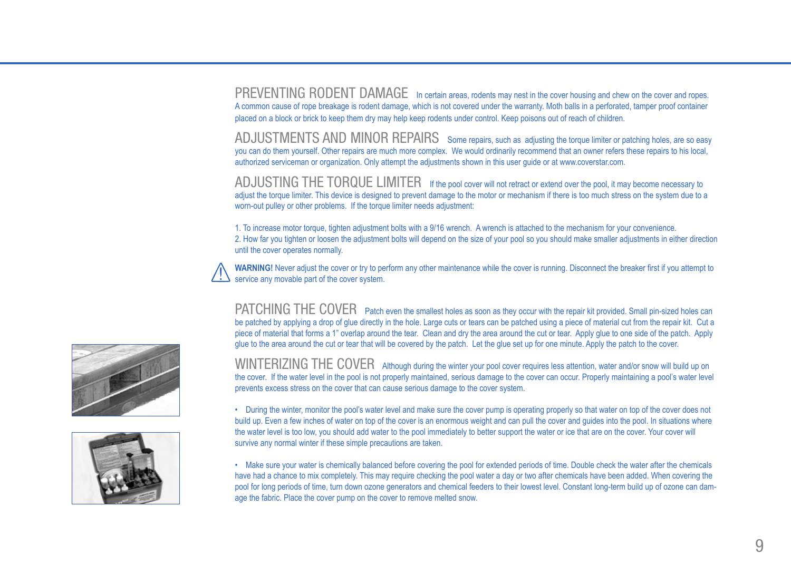PREVENTING RODENT DAMAGE In certain areas, rodents may nest in the cover housing and chew on the cover and ropes. A common cause of rope breakage is rodent damage, which is not covered under the warranty. Moth balls in a perforated, tamper proof container placed on a block or brick to keep them dry may help keep rodents under control. Keep poisons out of reach of children.

ADJUSTMENTS AND MINOR REPAIRS Some repairs, such as adjusting the torque limiter or patching holes, are so easy you can do them yourself. Other repairs are much more complex. We would ordinarily recommend that an owner refers these repairs to his local, authorized serviceman or organization. Only attempt the adjustments shown in this user guide or at www.coverstar.com.

AD. IUSTING THE TORQUE LIMITER If the pool cover will not retract or extend over the pool, it may become necessary to adjust the torque limiter. This device is designed to prevent damage to the motor or mechanism if there is too much stress on the system due to a worn-out pulley or other problems. If the torque limiter needs adjustment:

1. To increase motor torque, tighten adjustment bolts with a 9/16 wrench. A wrench is attached to the mechanism for your convenience. 2. How far you tighten or loosen the adjustment bolts will depend on the size of your pool so you should make smaller adjustments in either direction until the cover operates normally.



**WARNING!** Never adjust the cover or try to perform any other maintenance while the cover is running. Disconnect the breaker first if you attempt to service any movable part of the cover system.

PATCHING THE COVER Patch even the smallest holes as soon as they occur with the repair kit provided. Small pin-sized holes can be patched by applying a drop of glue directly in the hole. Large cuts or tears can be patched using a piece of material cut from the repair kit. Cut a piece of material that forms a 1" overlap around the tear. Clean and dry the area around the cut or tear. Apply glue to one side of the patch. Apply glue to the area around the cut or tear that will be covered by the patch. Let the glue set up for one minute. Apply the patch to the cover.

WINTERIZING THE COVER Although during the winter your pool cover requires less attention, water and/or snow will build up on the cover. If the water level in the pool is not properly maintained, serious damage to the cover can occur. Properly maintaining a pool's water level prevents excess stress on the cover that can cause serious damage to the cover system.

• During the winter, monitor the pool's water level and make sure the cover pump is operating properly so that water on top of the cover does not build up. Even a few inches of water on top of the cover is an enormous weight and can pull the cover and guides into the pool. In situations where the water level is too low, you should add water to the pool immediately to better support the water or ice that are on the cover. Your cover will survive any normal winter if these simple precautions are taken.

• Make sure your water is chemically balanced before covering the pool for extended periods of time. Double check the water after the chemicals have had a chance to mix completely. This may require checking the pool water a day or two after chemicals have been added. When covering the pool for long periods of time, turn down ozone generators and chemical feeders to their lowest level. Constant long-term build up of ozone can damage the fabric. Place the cover pump on the cover to remove melted snow.



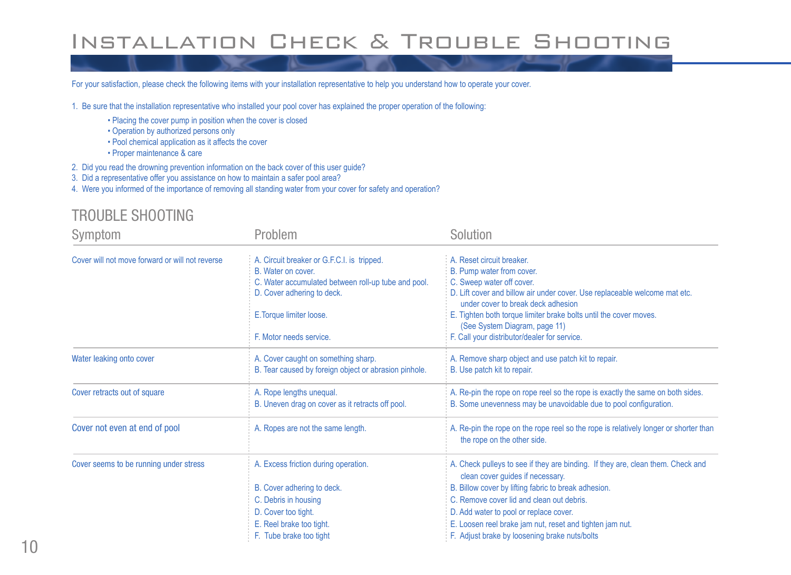# INSTALLATION CHECK & TROUBLE SHOOTING

For your satisfaction, please check the following items with your installation representative to help you understand how to operate your cover.

- 1. Be sure that the installation representative who installed your pool cover has explained the proper operation of the following:
	- Placing the cover pump in position when the cover is closed
	- Operation by authorized persons only
	- Pool chemical application as it affects the cover
	- Proper maintenance & care
- 2. Did you read the drowning prevention information on the back cover of this user guide?
- 3. Did a representative offer you assistance on how to maintain a safer pool area?
- 4. Were you informed of the importance of removing all standing water from your cover for safety and operation?

#### TROUBLE SHOOTING

| Symptom                                         | Problem                                               | Solution                                                                                                            |  |
|-------------------------------------------------|-------------------------------------------------------|---------------------------------------------------------------------------------------------------------------------|--|
| Cover will not move forward or will not reverse | A. Circuit breaker or G.F.C.I. is tripped.            | A. Reset circuit breaker.                                                                                           |  |
|                                                 | B. Water on cover.                                    | B. Pump water from cover.                                                                                           |  |
|                                                 | C. Water accumulated between roll-up tube and pool.   | C. Sweep water off cover.                                                                                           |  |
|                                                 | D. Cover adhering to deck.                            | D. Lift cover and billow air under cover. Use replaceable welcome mat etc.<br>under cover to break deck adhesion    |  |
|                                                 | E. Torque limiter loose.                              | E. Tighten both torque limiter brake bolts until the cover moves.<br>(See System Diagram, page 11)                  |  |
|                                                 | F. Motor needs service.                               | F. Call your distributor/dealer for service.                                                                        |  |
| Water leaking onto cover                        | A. Cover caught on something sharp.                   | A. Remove sharp object and use patch kit to repair.                                                                 |  |
|                                                 | B. Tear caused by foreign object or abrasion pinhole. | B. Use patch kit to repair.                                                                                         |  |
| Cover retracts out of square                    | A. Rope lengths unequal.                              | A. Re-pin the rope on rope reel so the rope is exactly the same on both sides.                                      |  |
|                                                 | B. Uneven drag on cover as it retracts off pool.      | B. Some unevenness may be unavoidable due to pool configuration.                                                    |  |
| Cover not even at end of pool                   | A. Ropes are not the same length.                     | A. Re-pin the rope on the rope reel so the rope is relatively longer or shorter than<br>the rope on the other side. |  |
| Cover seems to be running under stress          | A. Excess friction during operation.                  | A. Check pulleys to see if they are binding. If they are, clean them. Check and<br>clean cover guides if necessary. |  |
|                                                 | B. Cover adhering to deck.                            | B. Billow cover by lifting fabric to break adhesion.                                                                |  |
|                                                 | C. Debris in housing                                  | C. Remove cover lid and clean out debris.                                                                           |  |
|                                                 | D. Cover too tight.                                   | D. Add water to pool or replace cover.                                                                              |  |
|                                                 | E. Reel brake too tight.                              | E. Loosen reel brake jam nut, reset and tighten jam nut.                                                            |  |
|                                                 | F. Tube brake too tight                               | F. Adjust brake by loosening brake nuts/bolts                                                                       |  |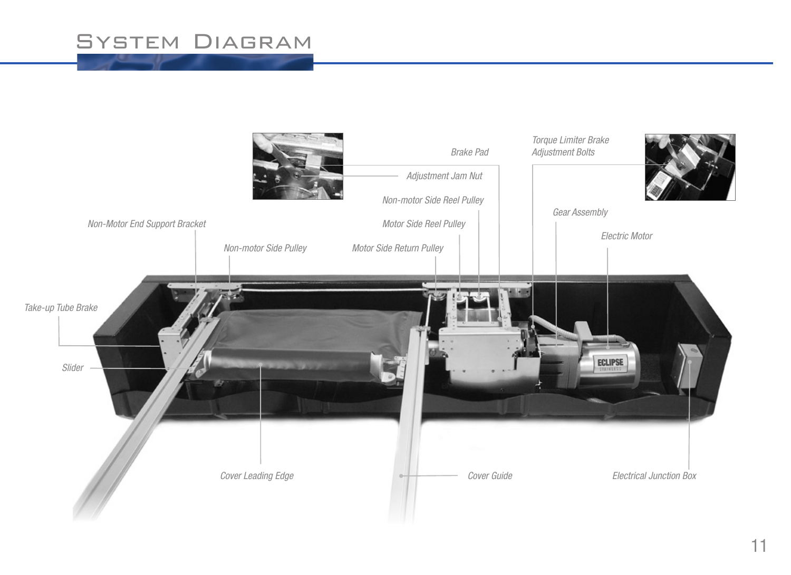# **SYSTEM DIAGRAM**

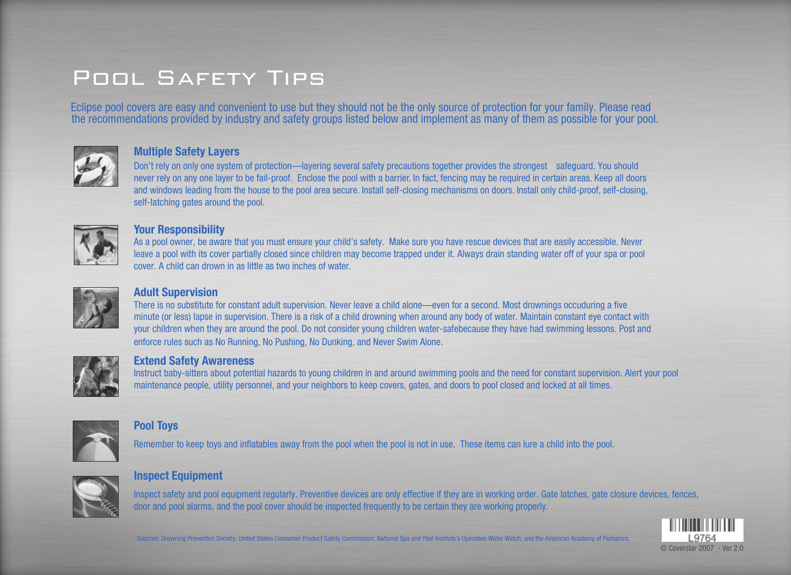# Pool Safety Tips

Eclipse pool covers are easy and convenient to use but they should not be the only source of protection for your family. Please read the recommendations provided by industry and safety groups listed below and implement as many of them as possible for your pool.



#### **Multiple Safety Layers**

 Don't rely on only one system of protection—layering several safety precautions together provides the strongest safeguard. You should never rely on any one layer to be fail-proof. Enclose the pool with a barrier. In fact, fencing may be required in certain areas. Keep all doors and windows leading from the house to the pool area secure. Install self-closing mechanisms on doors. Install only child-proof, self-closing, self-latching gates around the pool.



#### **Your Responsibility**

 As a pool owner, be aware that you must ensure your child's safety. Make sure you have rescue devices that are easily accessible. Never leave a pool with its cover partially closed since children may become trapped under it. Always drain standing water off of your spa or pool cover. A child can drown in as little as two inches of water.



#### **Adult Supervision**

 There is no substitute for constant adult supervision. Never leave a child alone—even for a second. Most drownings occuduring a five minute (or less) lapse in supervision. There is a risk of a child drowning when around any body of water. Maintain constant eye contact with your children when they are around the pool. Do not consider young children water-safebecause they have had swimming lessons. Post and enforce rules such as No Running, No Pushing, No Dunking, and Never Swim Alone.



#### **Extend Safety Awareness**

 Instruct baby-sitters about potential hazards to young children in and around swimming pools and the need for constant supervision. Alert your pool maintenance people, utility personnel, and your neighbors to keep covers, gates, and doors to pool closed and locked at all times.



#### **Pool Toys**

Remember to keep toys and inflatables away from the pool when the pool is not in use. These items can lure a child into the pool.



#### **Inspect Equipment**

 Inspect safety and pool equipment regularly. Preventive devices are only effective if they are in working order. Gate latches, gate closure devices, fences, door and pool alarms, and the pool cover should be inspected frequently to be certain they are working properly.



Sources: Drowning Prevention Society; United States Consumer Product Safety Commission; National Spa and Pool Institute's Operation Water Watch; and the American Academy of Pediatrics.